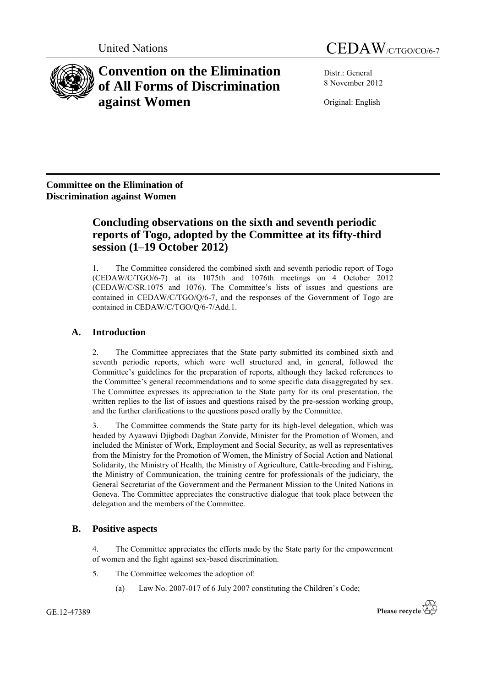

# United Nations CEDAW/C/TGO/CO/6-7

# **Convention on the Elimination of All Forms of Discrimination against Women**

Distr.: General 8 November 2012

Original: English

**Committee on the Elimination of Discrimination against Women**

## **Concluding observations on the sixth and seventh periodic reports of Togo, adopted by the Committee at its fifty-third session (1–19 October 2012)**

1. The Committee considered the combined sixth and seventh periodic report of Togo (CEDAW/C/TGO/6-7) at its 1075th and 1076th meetings on 4 October 2012 (CEDAW/C/SR.1075 and 1076). The Committee's lists of issues and questions are contained in  $CEDAW/C/TGO/Q/6-7$ , and the responses of the Government of Togo are contained in CEDAW/C/TGO/Q/6-7/Add.1.

## **A. Introduction**

2. The Committee appreciates that the State party submitted its combined sixth and seventh periodic reports, which were well structured and, in general, followed the Committee's guidelines for the preparation of reports, although they lacked references to the Committee's general recommendations and to some specific data disaggregated by sex. The Committee expresses its appreciation to the State party for its oral presentation, the written replies to the list of issues and questions raised by the pre-session working group, and the further clarifications to the questions posed orally by the Committee.

3. The Committee commends the State party for its high-level delegation, which was headed by Ayawavi Djigbodi Dagban Zonvide, Minister for the Promotion of Women, and included the Minister of Work, Employment and Social Security, as well as representatives from the Ministry for the Promotion of Women, the Ministry of Social Action and National Solidarity, the Ministry of Health, the Ministry of Agriculture, Cattle-breeding and Fishing, the Ministry of Communication, the training centre for professionals of the judiciary, the General Secretariat of the Government and the Permanent Mission to the United Nations in Geneva. The Committee appreciates the constructive dialogue that took place between the delegation and the members of the Committee.

## **B. Positive aspects**

4. The Committee appreciates the efforts made by the State party for the empowerment of women and the fight against sex-based discrimination.

- 5. The Committee welcomes the adoption of:
	- (a) Law No. 2007-017 of 6 July 2007 constituting the Children's Code;

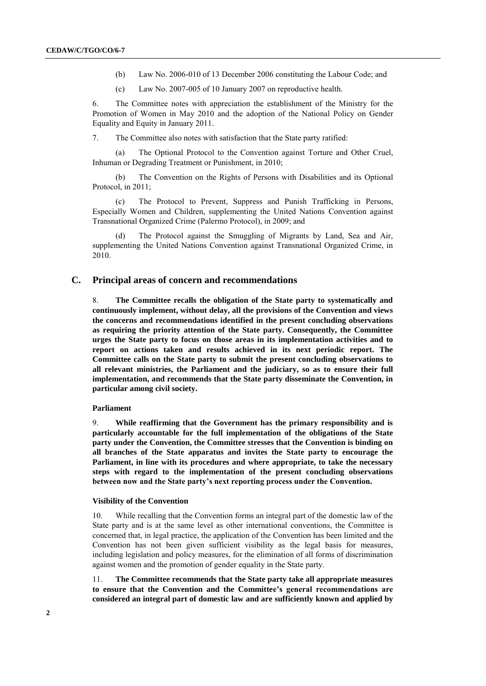- (b) Law No. 2006-010 of 13 December 2006 constituting the Labour Code; and
- (c) Law No. 2007-005 of 10 January 2007 on reproductive health.

6. The Committee notes with appreciation the establishment of the Ministry for the Promotion of Women in May 2010 and the adoption of the National Policy on Gender Equality and Equity in January 2011.

7. The Committee also notes with satisfaction that the State party ratified:

(a) The Optional Protocol to the Convention against Torture and Other Cruel, Inhuman or Degrading Treatment or Punishment, in 2010;

(b) The Convention on the Rights of Persons with Disabilities and its Optional Protocol, in 2011;

(c) The Protocol to Prevent, Suppress and Punish Trafficking in Persons, Especially Women and Children, supplementing the United Nations Convention against Transnational Organized Crime (Palermo Protocol), in 2009; and

The Protocol against the Smuggling of Migrants by Land, Sea and Air, supplementing the United Nations Convention against Transnational Organized Crime, in 2010.

## **C. Principal areas of concern and recommendations**

8. **The Committee recalls the obligation of the State party to systematically and continuously implement, without delay, all the provisions of the Convention and views the concerns and recommendations identified in the present concluding observations as requiring the priority attention of the State party. Consequently, the Committee urges the State party to focus on those areas in its implementation activities and to report on actions taken and results achieved in its next periodic report. The Committee calls on the State party to submit the present concluding observations to all relevant ministries, the Parliament and the judiciary, so as to ensure their full implementation, and recommends that the State party disseminate the Convention, in particular among civil society.**

## **Parliament**

9. **While reaffirming that the Government has the primary responsibility and is particularly accountable for the full implementation of the obligations of the State party under the Convention, the Committee stresses that the Convention is binding on all branches of the State apparatus and invites the State party to encourage the Parliament, in line with its procedures and where appropriate, to take the necessary steps with regard to the implementation of the present concluding observations between now and the State party's next reporting process under the Convention.**

#### **Visibility of the Convention**

10. While recalling that the Convention forms an integral part of the domestic law of the State party and is at the same level as other international conventions, the Committee is concerned that, in legal practice, the application of the Convention has been limited and the Convention has not been given sufficient visibility as the legal basis for measures, including legislation and policy measures, for the elimination of all forms of discrimination against women and the promotion of gender equality in the State party.

11. **The Committee recommends that the State party take all appropriate measures to ensure that the Convention and the Committee's general recommendations are considered an integral part of domestic law and are sufficiently known and applied by**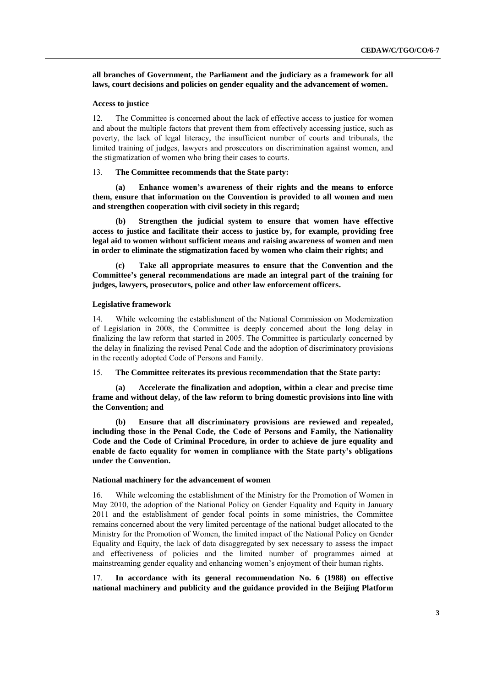**all branches of Government, the Parliament and the judiciary as a framework for all laws, court decisions and policies on gender equality and the advancement of women.**

## **Access to justice**

12. The Committee is concerned about the lack of effective access to justice for women and about the multiple factors that prevent them from effectively accessing justice, such as poverty, the lack of legal literacy, the insufficient number of courts and tribunals, the limited training of judges, lawyers and prosecutors on discrimination against women, and the stigmatization of women who bring their cases to courts.

#### 13. **The Committee recommends that the State party:**

**(a) Enhance women's awareness of their rights and the means to enforce them, ensure that information on the Convention is provided to all women and men and strengthen cooperation with civil society in this regard;**

**(b) Strengthen the judicial system to ensure that women have effective access to justice and facilitate their access to justice by, for example, providing free legal aid to women without sufficient means and raising awareness of women and men in order to eliminate the stigmatization faced by women who claim their rights; and**

**(c) Take all appropriate measures to ensure that the Convention and the Committee's general recommendations are made an integral part of the training for judges, lawyers, prosecutors, police and other law enforcement officers.**

#### **Legislative framework**

14. While welcoming the establishment of the National Commission on Modernization of Legislation in 2008, the Committee is deeply concerned about the long delay in finalizing the law reform that started in 2005. The Committee is particularly concerned by the delay in finalizing the revised Penal Code and the adoption of discriminatory provisions in the recently adopted Code of Persons and Family.

15. **The Committee reiterates its previous recommendation that the State party:**

**(a) Accelerate the finalization and adoption, within a clear and precise time frame and without delay, of the law reform to bring domestic provisions into line with the Convention; and** 

**(b) Ensure that all discriminatory provisions are reviewed and repealed, including those in the Penal Code, the Code of Persons and Family, the Nationality Code and the Code of Criminal Procedure, in order to achieve de jure equality and enable de facto equality for women in compliance with the State party's obligations under the Convention.**

## **National machinery for the advancement of women**

16. While welcoming the establishment of the Ministry for the Promotion of Women in May 2010, the adoption of the National Policy on Gender Equality and Equity in January 2011 and the establishment of gender focal points in some ministries, the Committee remains concerned about the very limited percentage of the national budget allocated to the Ministry for the Promotion of Women, the limited impact of the National Policy on Gender Equality and Equity, the lack of data disaggregated by sex necessary to assess the impact and effectiveness of policies and the limited number of programmes aimed at mainstreaming gender equality and enhancing women's enjoyment of their human rights.

17. **In accordance with its general recommendation No. 6 (1988) on effective national machinery and publicity and the guidance provided in the Beijing Platform**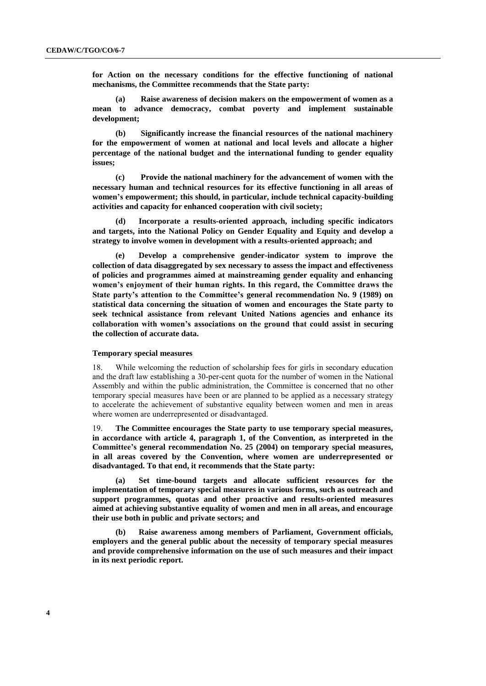**for Action on the necessary conditions for the effective functioning of national mechanisms, the Committee recommends that the State party:**

**(a) Raise awareness of decision makers on the empowerment of women as a mean to advance democracy, combat poverty and implement sustainable development;**

**(b) Significantly increase the financial resources of the national machinery for the empowerment of women at national and local levels and allocate a higher percentage of the national budget and the international funding to gender equality issues;**

**(c) Provide the national machinery for the advancement of women with the necessary human and technical resources for its effective functioning in all areas of women's empowerment; this should, in particular, include technical capacity-building activities and capacity for enhanced cooperation with civil society;**

**(d) Incorporate a results-oriented approach, including specific indicators and targets, into the National Policy on Gender Equality and Equity and develop a strategy to involve women in development with a results-oriented approach; and**

**(e) Develop a comprehensive gender-indicator system to improve the collection of data disaggregated by sex necessary to assess the impact and effectiveness of policies and programmes aimed at mainstreaming gender equality and enhancing women's enjoyment of their human rights. In this regard, the Committee draws the State party's attention to the Committee's general recommendation No. 9 (1989) on statistical data concerning the situation of women and encourages the State party to seek technical assistance from relevant United Nations agencies and enhance its collaboration with women's associations on the ground that could assist in securing the collection of accurate data.**

## **Temporary special measures**

18. While welcoming the reduction of scholarship fees for girls in secondary education and the draft law establishing a 30-per-cent quota for the number of women in the National Assembly and within the public administration, the Committee is concerned that no other temporary special measures have been or are planned to be applied as a necessary strategy to accelerate the achievement of substantive equality between women and men in areas where women are underrepresented or disadvantaged.

19. **The Committee encourages the State party to use temporary special measures, in accordance with article 4, paragraph 1, of the Convention, as interpreted in the Committee's general recommendation No. 25 (2004) on temporary special measures, in all areas covered by the Convention, where women are underrepresented or disadvantaged. To that end, it recommends that the State party:**

**(a) Set time-bound targets and allocate sufficient resources for the implementation of temporary special measures in various forms, such as outreach and support programmes, quotas and other proactive and results-oriented measures aimed at achieving substantive equality of women and men in all areas, and encourage their use both in public and private sectors; and**

**(b) Raise awareness among members of Parliament, Government officials, employers and the general public about the necessity of temporary special measures and provide comprehensive information on the use of such measures and their impact in its next periodic report.**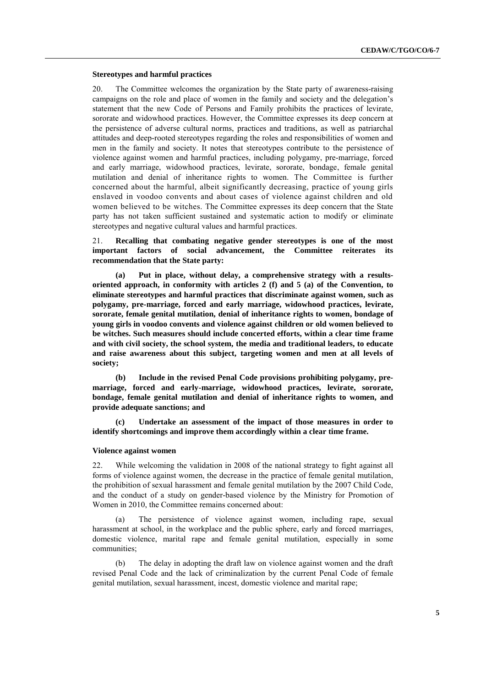#### **Stereotypes and harmful practices**

20. The Committee welcomes the organization by the State party of awareness-raising campaigns on the role and place of women in the family and society and the delegation's statement that the new Code of Persons and Family prohibits the practices of levirate, sororate and widowhood practices. However, the Committee expresses its deep concern at the persistence of adverse cultural norms, practices and traditions, as well as patriarchal attitudes and deep-rooted stereotypes regarding the roles and responsibilities of women and men in the family and society. It notes that stereotypes contribute to the persistence of violence against women and harmful practices, including polygamy, pre-marriage, forced and early marriage, widowhood practices, levirate, sororate, bondage, female genital mutilation and denial of inheritance rights to women. The Committee is further concerned about the harmful, albeit significantly decreasing, practice of young girls enslaved in voodoo convents and about cases of violence against children and old women believed to be witches. The Committee expresses its deep concern that the State party has not taken sufficient sustained and systematic action to modify or eliminate stereotypes and negative cultural values and harmful practices.

21. **Recalling that combating negative gender stereotypes is one of the most important factors of social advancement, the Committee reiterates its recommendation that the State party:**

**(a) Put in place, without delay, a comprehensive strategy with a resultsoriented approach, in conformity with articles 2 (f) and 5 (a) of the Convention, to eliminate stereotypes and harmful practices that discriminate against women, such as polygamy, pre-marriage, forced and early marriage, widowhood practices, levirate, sororate, female genital mutilation, denial of inheritance rights to women, bondage of young girls in voodoo convents and violence against children or old women believed to be witches. Such measures should include concerted efforts, within a clear time frame and with civil society, the school system, the media and traditional leaders, to educate and raise awareness about this subject, targeting women and men at all levels of society;**

**(b) Include in the revised Penal Code provisions prohibiting polygamy, premarriage, forced and early-marriage, widowhood practices, levirate, sororate, bondage, female genital mutilation and denial of inheritance rights to women, and provide adequate sanctions; and**

**(c) Undertake an assessment of the impact of those measures in order to identify shortcomings and improve them accordingly within a clear time frame.**

#### **Violence against women**

22. While welcoming the validation in 2008 of the national strategy to fight against all forms of violence against women, the decrease in the practice of female genital mutilation, the prohibition of sexual harassment and female genital mutilation by the 2007 Child Code, and the conduct of a study on gender-based violence by the Ministry for Promotion of Women in 2010, the Committee remains concerned about:

(a) The persistence of violence against women, including rape, sexual harassment at school, in the workplace and the public sphere, early and forced marriages, domestic violence, marital rape and female genital mutilation, especially in some communities;

(b) The delay in adopting the draft law on violence against women and the draft revised Penal Code and the lack of criminalization by the current Penal Code of female genital mutilation, sexual harassment, incest, domestic violence and marital rape;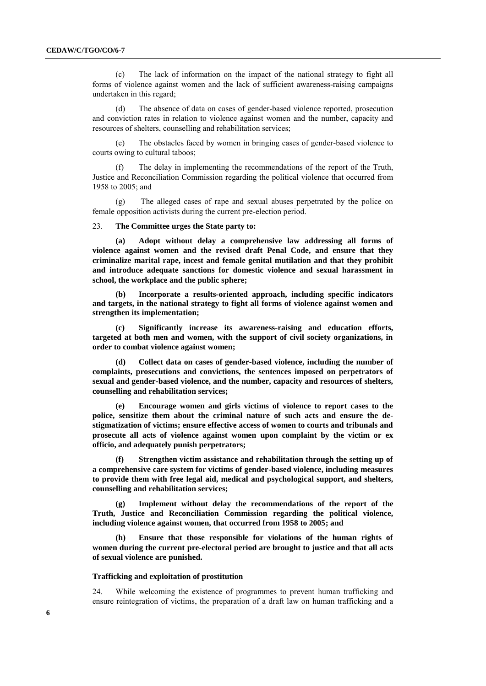(c) The lack of information on the impact of the national strategy to fight all forms of violence against women and the lack of sufficient awareness-raising campaigns undertaken in this regard;

(d) The absence of data on cases of gender-based violence reported, prosecution and conviction rates in relation to violence against women and the number, capacity and resources of shelters, counselling and rehabilitation services;

(e) The obstacles faced by women in bringing cases of gender-based violence to courts owing to cultural taboos;

(f) The delay in implementing the recommendations of the report of the Truth, Justice and Reconciliation Commission regarding the political violence that occurred from 1958 to 2005; and

(g) The alleged cases of rape and sexual abuses perpetrated by the police on female opposition activists during the current pre-election period.

#### 23. **The Committee urges the State party to:**

**(a) Adopt without delay a comprehensive law addressing all forms of violence against women and the revised draft Penal Code, and ensure that they criminalize marital rape, incest and female genital mutilation and that they prohibit and introduce adequate sanctions for domestic violence and sexual harassment in school, the workplace and the public sphere;**

**(b) Incorporate a results-oriented approach, including specific indicators and targets, in the national strategy to fight all forms of violence against women and strengthen its implementation;**

**(c) Significantly increase its awareness-raising and education efforts, targeted at both men and women, with the support of civil society organizations, in order to combat violence against women;**

**(d) Collect data on cases of gender-based violence, including the number of complaints, prosecutions and convictions, the sentences imposed on perpetrators of sexual and gender-based violence, and the number, capacity and resources of shelters, counselling and rehabilitation services;**

**(e) Encourage women and girls victims of violence to report cases to the police, sensitize them about the criminal nature of such acts and ensure the destigmatization of victims; ensure effective access of women to courts and tribunals and prosecute all acts of violence against women upon complaint by the victim or ex officio, and adequately punish perpetrators;**

**(f) Strengthen victim assistance and rehabilitation through the setting up of a comprehensive care system for victims of gender-based violence, including measures to provide them with free legal aid, medical and psychological support, and shelters, counselling and rehabilitation services;**

**(g) Implement without delay the recommendations of the report of the Truth, Justice and Reconciliation Commission regarding the political violence, including violence against women, that occurred from 1958 to 2005; and**

**(h) Ensure that those responsible for violations of the human rights of women during the current pre-electoral period are brought to justice and that all acts of sexual violence are punished.**

#### **Trafficking and exploitation of prostitution**

24. While welcoming the existence of programmes to prevent human trafficking and ensure reintegration of victims, the preparation of a draft law on human trafficking and a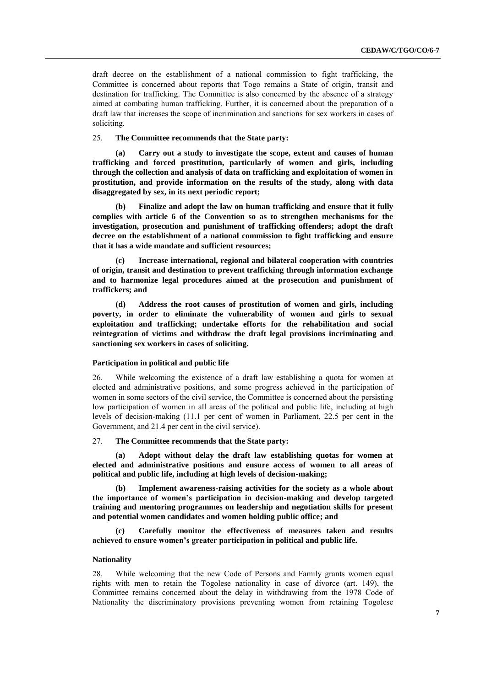draft decree on the establishment of a national commission to fight trafficking, the Committee is concerned about reports that Togo remains a State of origin, transit and destination for trafficking. The Committee is also concerned by the absence of a strategy aimed at combating human trafficking. Further, it is concerned about the preparation of a draft law that increases the scope of incrimination and sanctions for sex workers in cases of soliciting.

## 25. **The Committee recommends that the State party:**

**(a) Carry out a study to investigate the scope, extent and causes of human trafficking and forced prostitution, particularly of women and girls, including through the collection and analysis of data on trafficking and exploitation of women in prostitution, and provide information on the results of the study, along with data disaggregated by sex, in its next periodic report;**

**(b) Finalize and adopt the law on human trafficking and ensure that it fully complies with article 6 of the Convention so as to strengthen mechanisms for the investigation, prosecution and punishment of trafficking offenders; adopt the draft decree on the establishment of a national commission to fight trafficking and ensure that it has a wide mandate and sufficient resources;**

**(c) Increase international, regional and bilateral cooperation with countries of origin, transit and destination to prevent trafficking through information exchange and to harmonize legal procedures aimed at the prosecution and punishment of traffickers; and**

**(d) Address the root causes of prostitution of women and girls, including poverty, in order to eliminate the vulnerability of women and girls to sexual exploitation and trafficking; undertake efforts for the rehabilitation and social reintegration of victims and withdraw the draft legal provisions incriminating and sanctioning sex workers in cases of soliciting.**

## **Participation in political and public life**

26. While welcoming the existence of a draft law establishing a quota for women at elected and administrative positions, and some progress achieved in the participation of women in some sectors of the civil service, the Committee is concerned about the persisting low participation of women in all areas of the political and public life, including at high levels of decision-making (11.1 per cent of women in Parliament, 22.5 per cent in the Government, and 21.4 per cent in the civil service).

### 27. **The Committee recommends that the State party:**

**(a) Adopt without delay the draft law establishing quotas for women at elected and administrative positions and ensure access of women to all areas of political and public life, including at high levels of decision-making;**

**(b) Implement awareness-raising activities for the society as a whole about the importance of women's participation in decision-making and develop targeted training and mentoring programmes on leadership and negotiation skills for present and potential women candidates and women holding public office; and**

**(c) Carefully monitor the effectiveness of measures taken and results achieved to ensure women's greater participation in political and public life.**

## **Nationality**

28. While welcoming that the new Code of Persons and Family grants women equal rights with men to retain the Togolese nationality in case of divorce (art. 149), the Committee remains concerned about the delay in withdrawing from the 1978 Code of Nationality the discriminatory provisions preventing women from retaining Togolese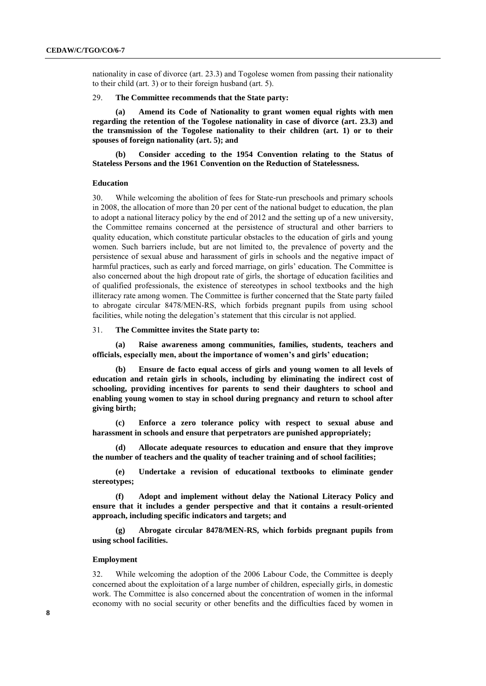nationality in case of divorce (art. 23.3) and Togolese women from passing their nationality to their child (art. 3) or to their foreign husband (art. 5).

#### 29. **The Committee recommends that the State party:**

**(a) Amend its Code of Nationality to grant women equal rights with men regarding the retention of the Togolese nationality in case of divorce (art. 23.3) and the transmission of the Togolese nationality to their children (art. 1) or to their spouses of foreign nationality (art. 5); and**

**(b) Consider acceding to the 1954 Convention relating to the Status of Stateless Persons and the 1961 Convention on the Reduction of Statelessness.**

#### **Education**

30. While welcoming the abolition of fees for State-run preschools and primary schools in 2008, the allocation of more than 20 per cent of the national budget to education, the plan to adopt a national literacy policy by the end of 2012 and the setting up of a new university, the Committee remains concerned at the persistence of structural and other barriers to quality education, which constitute particular obstacles to the education of girls and young women. Such barriers include, but are not limited to, the prevalence of poverty and the persistence of sexual abuse and harassment of girls in schools and the negative impact of harmful practices, such as early and forced marriage, on girls' education. The Committee is also concerned about the high dropout rate of girls, the shortage of education facilities and of qualified professionals, the existence of stereotypes in school textbooks and the high illiteracy rate among women. The Committee is further concerned that the State party failed to abrogate circular 8478/MEN-RS, which forbids pregnant pupils from using school facilities, while noting the delegation's statement that this circular is not applied.

#### 31. **The Committee invites the State party to:**

**(a) Raise awareness among communities, families, students, teachers and officials, especially men, about the importance of women's and girls' education;**

**(b) Ensure de facto equal access of girls and young women to all levels of education and retain girls in schools, including by eliminating the indirect cost of schooling, providing incentives for parents to send their daughters to school and enabling young women to stay in school during pregnancy and return to school after giving birth;**

**(c) Enforce a zero tolerance policy with respect to sexual abuse and harassment in schools and ensure that perpetrators are punished appropriately;**

**(d) Allocate adequate resources to education and ensure that they improve the number of teachers and the quality of teacher training and of school facilities;**

**(e) Undertake a revision of educational textbooks to eliminate gender stereotypes;**

**(f) Adopt and implement without delay the National Literacy Policy and ensure that it includes a gender perspective and that it contains a result-oriented approach, including specific indicators and targets; and**

**(g) Abrogate circular 8478/MEN-RS, which forbids pregnant pupils from using school facilities.**

## **Employment**

32. While welcoming the adoption of the 2006 Labour Code, the Committee is deeply concerned about the exploitation of a large number of children, especially girls, in domestic work. The Committee is also concerned about the concentration of women in the informal economy with no social security or other benefits and the difficulties faced by women in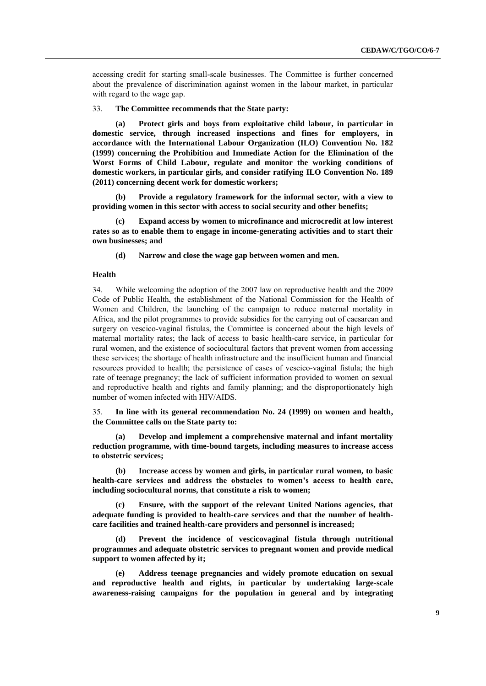accessing credit for starting small-scale businesses. The Committee is further concerned about the prevalence of discrimination against women in the labour market, in particular with regard to the wage gap.

#### 33. **The Committee recommends that the State party:**

**(a) Protect girls and boys from exploitative child labour, in particular in domestic service, through increased inspections and fines for employers, in accordance with the International Labour Organization (ILO) Convention No. 182 (1999) concerning the Prohibition and Immediate Action for the Elimination of the Worst Forms of Child Labour, regulate and monitor the working conditions of domestic workers, in particular girls, and consider ratifying ILO Convention No. 189 (2011) concerning decent work for domestic workers;**

**(b) Provide a regulatory framework for the informal sector, with a view to providing women in this sector with access to social security and other benefits;**

**(c) Expand access by women to microfinance and microcredit at low interest rates so as to enable them to engage in income-generating activities and to start their own businesses; and**

**(d) Narrow and close the wage gap between women and men.**

## **Health**

34. While welcoming the adoption of the 2007 law on reproductive health and the 2009 Code of Public Health, the establishment of the National Commission for the Health of Women and Children, the launching of the campaign to reduce maternal mortality in Africa, and the pilot programmes to provide subsidies for the carrying out of caesarean and surgery on vescico-vaginal fistulas, the Committee is concerned about the high levels of maternal mortality rates; the lack of access to basic health-care service, in particular for rural women, and the existence of sociocultural factors that prevent women from accessing these services; the shortage of health infrastructure and the insufficient human and financial resources provided to health; the persistence of cases of vescico-vaginal fistula; the high rate of teenage pregnancy; the lack of sufficient information provided to women on sexual and reproductive health and rights and family planning; and the disproportionately high number of women infected with HIV/AIDS.

35. **In line with its general recommendation No. 24 (1999) on women and health, the Committee calls on the State party to:**

**(a) Develop and implement a comprehensive maternal and infant mortality reduction programme, with time-bound targets, including measures to increase access to obstetric services;**

**(b) Increase access by women and girls, in particular rural women, to basic health-care services and address the obstacles to women's access to health care, including sociocultural norms, that constitute a risk to women;**

**(c) Ensure, with the support of the relevant United Nations agencies, that adequate funding is provided to health-care services and that the number of healthcare facilities and trained health-care providers and personnel is increased;**

**(d) Prevent the incidence of vescicovaginal fistula through nutritional programmes and adequate obstetric services to pregnant women and provide medical support to women affected by it;**

**(e) Address teenage pregnancies and widely promote education on sexual and reproductive health and rights, in particular by undertaking large-scale awareness-raising campaigns for the population in general and by integrating**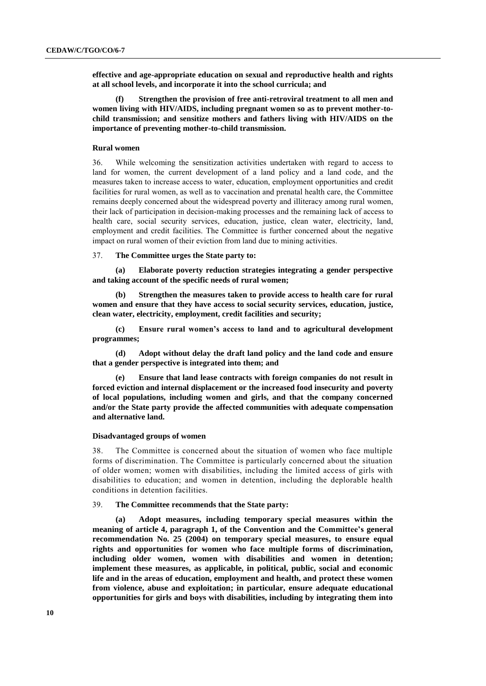**effective and age-appropriate education on sexual and reproductive health and rights at all school levels, and incorporate it into the school curricula; and**

**(f) Strengthen the provision of free anti-retroviral treatment to all men and women living with HIV/AIDS, including pregnant women so as to prevent mother-tochild transmission; and sensitize mothers and fathers living with HIV/AIDS on the importance of preventing mother-to-child transmission.**

#### **Rural women**

36. While welcoming the sensitization activities undertaken with regard to access to land for women, the current development of a land policy and a land code, and the measures taken to increase access to water, education, employment opportunities and credit facilities for rural women, as well as to vaccination and prenatal health care, the Committee remains deeply concerned about the widespread poverty and illiteracy among rural women, their lack of participation in decision-making processes and the remaining lack of access to health care, social security services, education, justice, clean water, electricity, land, employment and credit facilities. The Committee is further concerned about the negative impact on rural women of their eviction from land due to mining activities.

37. **The Committee urges the State party to:**

**(a) Elaborate poverty reduction strategies integrating a gender perspective and taking account of the specific needs of rural women;**

**(b) Strengthen the measures taken to provide access to health care for rural women and ensure that they have access to social security services, education, justice, clean water, electricity, employment, credit facilities and security;**

**(c) Ensure rural women's access to land and to agricultural development programmes;**

**(d) Adopt without delay the draft land policy and the land code and ensure that a gender perspective is integrated into them; and**

**(e) Ensure that land lease contracts with foreign companies do not result in forced eviction and internal displacement or the increased food insecurity and poverty of local populations, including women and girls, and that the company concerned and/or the State party provide the affected communities with adequate compensation and alternative land.**

#### **Disadvantaged groups of women**

38. The Committee is concerned about the situation of women who face multiple forms of discrimination. The Committee is particularly concerned about the situation of older women; women with disabilities, including the limited access of girls with disabilities to education; and women in detention, including the deplorable health conditions in detention facilities.

#### 39. **The Committee recommends that the State party:**

**(a) Adopt measures, including temporary special measures within the meaning of article 4, paragraph 1, of the Convention and the Committee's general recommendation No. 25 (2004) on temporary special measures, to ensure equal rights and opportunities for women who face multiple forms of discrimination, including older women, women with disabilities and women in detention; implement these measures, as applicable, in political, public, social and economic life and in the areas of education, employment and health, and protect these women from violence, abuse and exploitation; in particular, ensure adequate educational opportunities for girls and boys with disabilities, including by integrating them into**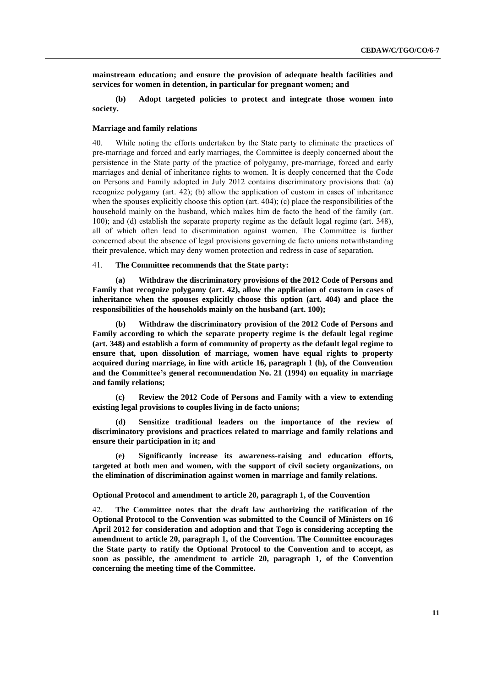**mainstream education; and ensure the provision of adequate health facilities and services for women in detention, in particular for pregnant women; and**

**(b) Adopt targeted policies to protect and integrate those women into society.**

#### **Marriage and family relations**

40. While noting the efforts undertaken by the State party to eliminate the practices of pre-marriage and forced and early marriages, the Committee is deeply concerned about the persistence in the State party of the practice of polygamy, pre-marriage, forced and early marriages and denial of inheritance rights to women. It is deeply concerned that the Code on Persons and Family adopted in July 2012 contains discriminatory provisions that: (a) recognize polygamy (art. 42); (b) allow the application of custom in cases of inheritance when the spouses explicitly choose this option (art.  $404$ ); (c) place the responsibilities of the household mainly on the husband, which makes him de facto the head of the family (art. 100); and (d) establish the separate property regime as the default legal regime (art. 348), all of which often lead to discrimination against women. The Committee is further concerned about the absence of legal provisions governing de facto unions notwithstanding their prevalence, which may deny women protection and redress in case of separation.

### 41. **The Committee recommends that the State party:**

**(a) Withdraw the discriminatory provisions of the 2012 Code of Persons and Family that recognize polygamy (art. 42), allow the application of custom in cases of inheritance when the spouses explicitly choose this option (art. 404) and place the responsibilities of the households mainly on the husband (art. 100);**

**(b) Withdraw the discriminatory provision of the 2012 Code of Persons and Family according to which the separate property regime is the default legal regime (art. 348) and establish a form of community of property as the default legal regime to ensure that, upon dissolution of marriage, women have equal rights to property acquired during marriage, in line with article 16, paragraph 1 (h), of the Convention and the Committee's general recommendation No. 21 (1994) on equality in marriage and family relations;**

**(c) Review the 2012 Code of Persons and Family with a view to extending existing legal provisions to couples living in de facto unions;**

**(d) Sensitize traditional leaders on the importance of the review of discriminatory provisions and practices related to marriage and family relations and ensure their participation in it; and**

**(e) Significantly increase its awareness-raising and education efforts, targeted at both men and women, with the support of civil society organizations, on the elimination of discrimination against women in marriage and family relations.**

#### **Optional Protocol and amendment to article 20, paragraph 1, of the Convention**

42. **The Committee notes that the draft law authorizing the ratification of the Optional Protocol to the Convention was submitted to the Council of Ministers on 16 April 2012 for consideration and adoption and that Togo is considering accepting the amendment to article 20, paragraph 1, of the Convention. The Committee encourages the State party to ratify the Optional Protocol to the Convention and to accept, as soon as possible, the amendment to article 20, paragraph 1, of the Convention concerning the meeting time of the Committee.**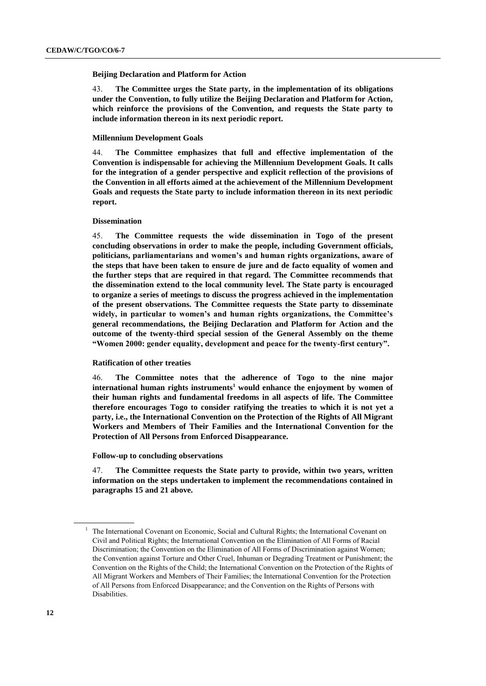#### **Beijing Declaration and Platform for Action**

43. **The Committee urges the State party, in the implementation of its obligations under the Convention, to fully utilize the Beijing Declaration and Platform for Action, which reinforce the provisions of the Convention, and requests the State party to include information thereon in its next periodic report.**

## **Millennium Development Goals**

44. **The Committee emphasizes that full and effective implementation of the Convention is indispensable for achieving the Millennium Development Goals. It calls for the integration of a gender perspective and explicit reflection of the provisions of the Convention in all efforts aimed at the achievement of the Millennium Development Goals and requests the State party to include information thereon in its next periodic report.** 

#### **Dissemination**

45. **The Committee requests the wide dissemination in Togo of the present concluding observations in order to make the people, including Government officials, politicians, parliamentarians and women's and human rights organizations, aware of the steps that have been taken to ensure de jure and de facto equality of women and the further steps that are required in that regard. The Committee recommends that the dissemination extend to the local community level. The State party is encouraged to organize a series of meetings to discuss the progress achieved in the implementation of the present observations. The Committee requests the State party to disseminate widely, in particular to women's and human rights organizations, the Committee's general recommendations, the Beijing Declaration and Platform for Action and the outcome of the twenty-third special session of the General Assembly on the theme "Women 2000: gender equality, development and peace for the twenty-first century".**

#### **Ratification of other treaties**

46. **The Committee notes that the adherence of Togo to the nine major international human rights instruments<sup>1</sup> would enhance the enjoyment by women of their human rights and fundamental freedoms in all aspects of life. The Committee therefore encourages Togo to consider ratifying the treaties to which it is not yet a party, i.e., the International Convention on the Protection of the Rights of All Migrant Workers and Members of Their Families and the International Convention for the Protection of All Persons from Enforced Disappearance.**

#### **Follow-up to concluding observations**

47. **The Committee requests the State party to provide, within two years, written information on the steps undertaken to implement the recommendations contained in paragraphs 15 and 21 above.**

 $<sup>1</sup>$  The International Covenant on Economic, Social and Cultural Rights; the International Covenant on</sup> Civil and Political Rights; the International Convention on the Elimination of All Forms of Racial Discrimination; the Convention on the Elimination of All Forms of Discrimination against Women; the Convention against Torture and Other Cruel, Inhuman or Degrading Treatment or Punishment; the Convention on the Rights of the Child; the International Convention on the Protection of the Rights of All Migrant Workers and Members of Their Families; the International Convention for the Protection of All Persons from Enforced Disappearance; and the Convention on the Rights of Persons with Disabilities.